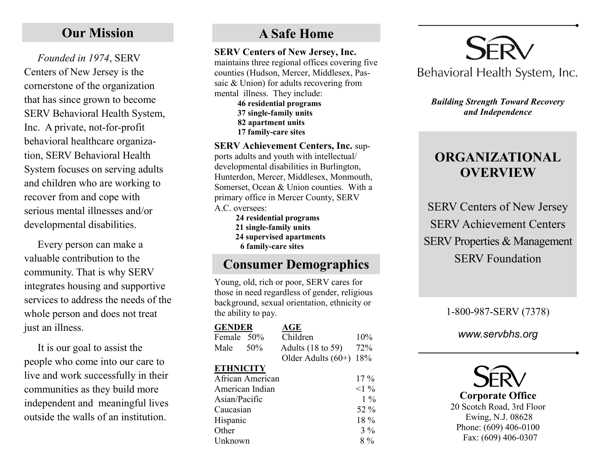# **Our Mission**

*Founded in 1974*, SERV Centers of New Jersey is the cornerstone of the organization that has since grown to become SERV Behavioral Health System, Inc. A private, not-for-profit behavioral healthcare organization, SERV Behavioral Health System focuses on serving adults and children who are working to recover from and cope with serious mental illnesses and/or developmental disabilities.

Every person can make a valuable contribution to the community. That is why SERV integrates housing and supportive services to address the needs of the whole person and does not treat just an illness.

It is our goal to assist the people who come into our care to live and work successfully in their communities as they build more independent and meaningful lives outside the walls of an institution.

# **A Safe Home**

#### **SERV Centers of New Jersey, Inc.**

maintains three regional offices covering five counties (Hudson, Mercer, Middlesex, Passaic & Union) for adults recovering from mental illness. They include: **46 residential programs 37 single-family units 82 apartment units**

 **17 family-care sites SERV Achievement Centers, Inc.** supports adults and youth with intellectual/ developmental disabilities in Burlington, Hunterdon, Mercer, Middlesex, Monmouth, Somerset, Ocean & Union counties. With a primary office in Mercer County, SERV A.C. oversees:

> **24 residential programs 21 single-family units 24 supervised apartments 6 family-care sites**

# **Consumer Demographics**

Young, old, rich or poor, SERV cares for those in need regardless of gender, religious background, sexual orientation, ethnicity or the ability to pay.

| <b>GENDER</b>    | AGE                  |        |
|------------------|----------------------|--------|
| Female 50%       | Children             | 10%    |
| 50%<br>Male      | Adults (18 to 59)    | 72%    |
|                  | Older Adults $(60+)$ | 18%    |
| <b>ETHNICITY</b> |                      |        |
| African American |                      | $17\%$ |
| American Indian  |                      | $1\%$  |
| Asian/Pacific    |                      | $1\%$  |
| Caucasian        |                      | 52 %   |
| Hispanic         |                      | 18 %   |
| Other            |                      | $3\%$  |
| Unknown          |                      | $8\%$  |



*Building Strength Toward Recovery and Independence*

# **ORGANIZATIONAL OVERVIEW**

SERV Centers of New Jersey SERV Achievement Centers SERV Properties & Management SERV Foundation

## 1-800-987-SERV (7378)

*www.servbhs.org*